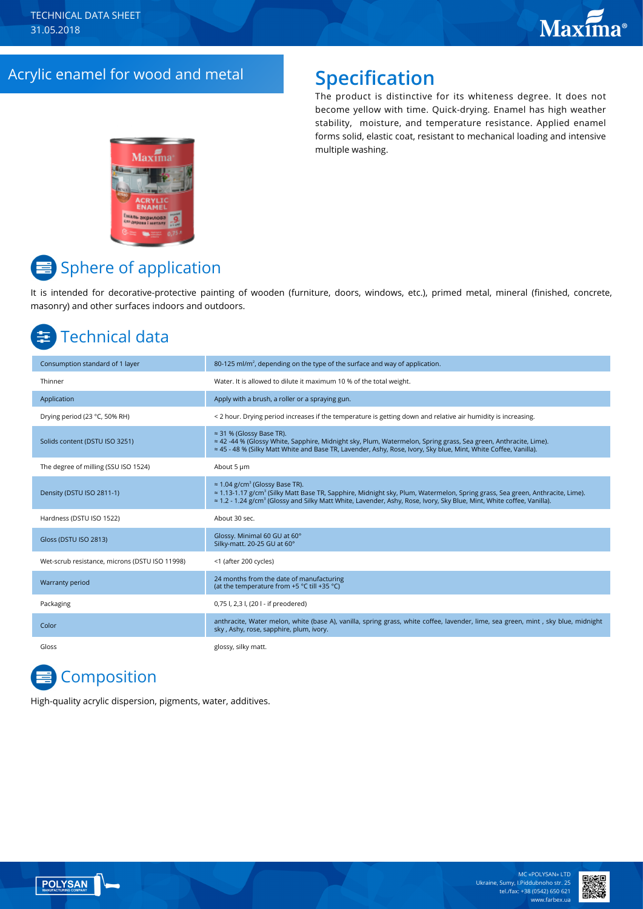### Acrylic enamel for wood and metal **Specification**

The product is distinctive for its whiteness degree. It does not become yellow with time. Quick-drying. Enamel has high weather stability, moisture, and temperature resistance. Applied enamel forms solid, elastic coat, resistant to mechanical loading and intensive multiple washing.



## $\equiv$  Sphere of application

It is intended for decorative-protective painting of wooden (furniture, doors, windows, etc.), primed metal, mineral (finished, concrete, masonry) and other surfaces indoors and outdoors.

### Technical data

| Consumption standard of 1 layer                | 80-125 ml/m <sup>2</sup> , depending on the type of the surface and way of application.                                                                                                                                                                                                                                                             |
|------------------------------------------------|-----------------------------------------------------------------------------------------------------------------------------------------------------------------------------------------------------------------------------------------------------------------------------------------------------------------------------------------------------|
| Thinner                                        | Water. It is allowed to dilute it maximum 10 % of the total weight.                                                                                                                                                                                                                                                                                 |
| Application                                    | Apply with a brush, a roller or a spraying gun.                                                                                                                                                                                                                                                                                                     |
| Drying period (23 °C, 50% RH)                  | < 2 hour. Drying period increases if the temperature is getting down and relative air humidity is increasing.                                                                                                                                                                                                                                       |
| Solids content (DSTU ISO 3251)                 | $\approx$ 31 % (Glossy Base TR).<br>≈ 42 -44 % (Glossy White, Sapphire, Midnight sky, Plum, Watermelon, Spring grass, Sea green, Anthracite, Lime).<br>≈ 45 - 48 % (Silky Matt White and Base TR, Lavender, Ashy, Rose, Ivory, Sky blue, Mint, White Coffee, Vanilla).                                                                              |
| The degree of milling (SSU ISO 1524)           | About 5 µm                                                                                                                                                                                                                                                                                                                                          |
| Density (DSTU ISO 2811-1)                      | $\approx$ 1.04 g/cm <sup>3</sup> (Glossy Base TR).<br>$\approx$ 1.13-1.17 g/cm <sup>3</sup> (Silky Matt Base TR, Sapphire, Midnight sky, Plum, Watermelon, Spring grass, Sea green, Anthracite, Lime).<br>$\approx$ 1.2 - 1.24 g/cm <sup>3</sup> (Glossy and Silky Matt White, Lavender, Ashy, Rose, Ivory, Sky Blue, Mint, White coffee, Vanilla). |
| Hardness (DSTU ISO 1522)                       | About 30 sec.                                                                                                                                                                                                                                                                                                                                       |
| Gloss (DSTU ISO 2813)                          | Glossy. Minimal 60 GU at 60°<br>Silky-matt. 20-25 GU at 60°                                                                                                                                                                                                                                                                                         |
| Wet-scrub resistance, microns (DSTU ISO 11998) | <1 (after 200 cycles)                                                                                                                                                                                                                                                                                                                               |
| Warranty period                                | 24 months from the date of manufacturing<br>(at the temperature from +5 °C till +35 °C)                                                                                                                                                                                                                                                             |
| Packaging                                      | 0,75 l, 2,3 l, (20 l - if preodered)                                                                                                                                                                                                                                                                                                                |
| Color                                          | anthracite, Water melon, white (base A), vanilla, spring grass, white coffee, lavender, lime, sea green, mint, sky blue, midnight<br>sky, Ashy, rose, sapphire, plum, ivory.                                                                                                                                                                        |
| Gloss                                          | glossy, silky matt.                                                                                                                                                                                                                                                                                                                                 |

# **Composition**

High-quality acrylic dispersion, pigments, water, additives.



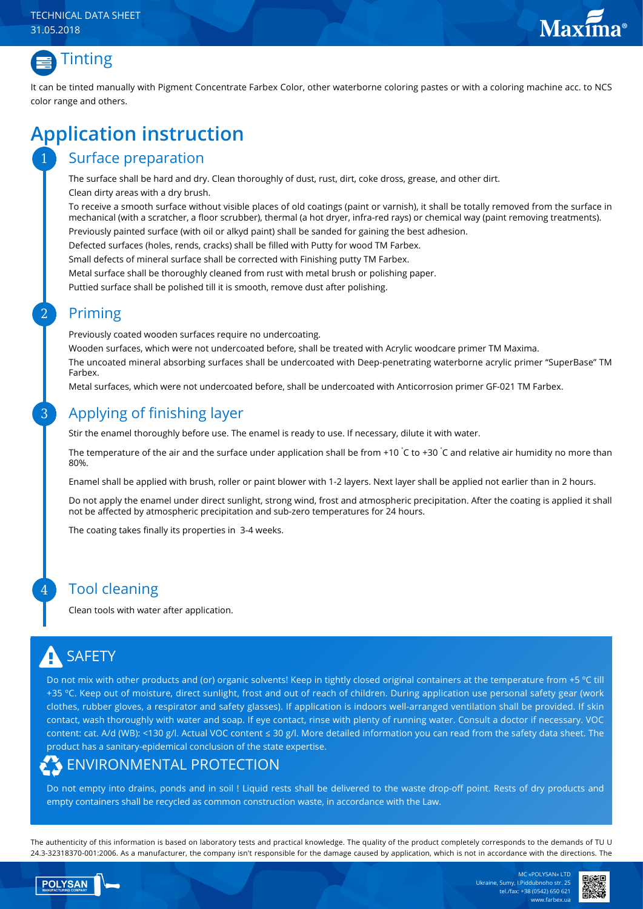#### TECHNICAL DATA SHEET 31.05.2018





1

2

3

4

It can be tinted manually with Pigment Concentrate Farbex Color, other waterborne coloring pastes or with a coloring machine acc. to NCS color range and others.

## **Application instruction**

#### Surface preparation

The surface shall be hard and dry. Clean thoroughly of dust, rust, dirt, coke dross, grease, and other dirt. Clean dirty areas with a dry brush.

To receive a smooth surface without visible places of old coatings (paint or varnish), it shall be totally removed from the surface in mechanical (with a scratcher, a floor scrubber), thermal (a hot dryer, infra-red rays) or chemical way (paint removing treatments). Previously painted surface (with oil or alkyd paint) shall be sanded for gaining the best adhesion.

Defected surfaces (holes, rends, cracks) shall be filled with Putty for wood ТМ Farbex.

Small defects of mineral surface shall be corrected with Finishing putty TM Farbex.

Metal surface shall be thoroughly cleaned from rust with metal brush or polishing paper.

Puttied surface shall be polished till it is smooth, remove dust after polishing.

#### Priming

Previously coated wooden surfaces require no undercoating.

Wooden surfaces, which were not undercoated before, shall be treated with Acrylic woodcare primer TM Maxima.

The uncoated mineral absorbing surfaces shall be undercoated with Deep-penetrating waterborne acrylic primer "SuperBase" TM Farbex.

Metal surfaces, which were not undercoated before, shall be undercoated with Anticorrosion primer GF-021 TM Farbex.

#### Applying of finishing layer

Stir the enamel thoroughly before use. The enamel is ready to use. If necessary, dilute it with water.

The temperature of the air and the surface under application shall be from +10  $\rm ^\circ C$  to +30  $\rm ^\circ C$  and relative air humidity no more than 80%.

Enamel shall be applied with brush, roller or paint blower with 1-2 layers. Next layer shall be applied not earlier than in 2 hours.

Do not apply the enamel under direct sunlight, strong wind, frost and atmospheric precipitation. After the coating is applied it shall not be affected by atmospheric precipitation and sub-zero temperatures for 24 hours.

The coating takes finally its properties in 3-4 weeks.

#### Tool cleaning

Clean tools with water after application.

# **SAFETY**

Do not mix with other products and (or) organic solvents! Keep in tightly closed original containers at the temperature from +5 ºС till +35 ºС. Keep out of moisture, direct sunlight, frost and out of reach of children. During application use personal safety gear (work clothes, rubber gloves, a respirator and safety glasses). If application is indoors well-arranged ventilation shall be provided. If skin contact, wash thoroughly with water and soap. If eye contact, rinse with plenty of running water. Consult a doctor if necessary. VOC content: cat. A/d (WB): <130 g/l. Actual VOC content ≤ 30 g/l. More detailed information you can read from the safety data sheet. The product has a sanitary-epidemical conclusion of the state expertise.

### ENVIRONMENTAL PROTECTION

Do not empty into drains, ponds and in soil ! Liquid rests shall be delivered to the waste drop-off point. Rests of dry products and empty containers shall be recycled as common construction waste, in accordance with the Law.

The authenticity of this information is based on laboratory tests and practical knowledge. The quality of the product completely corresponds to the demands of TU U 24.3-32318370-001:2006. As a manufacturer, the company isn't responsible for the damage caused by application, which is not in accordance with the directions. The



MC «POLYSAN» LTD Ukraine, Sumy, I.Piddubnoho str. 25 tel./fax: +38 (0542) 650 621 www.farbex.ua